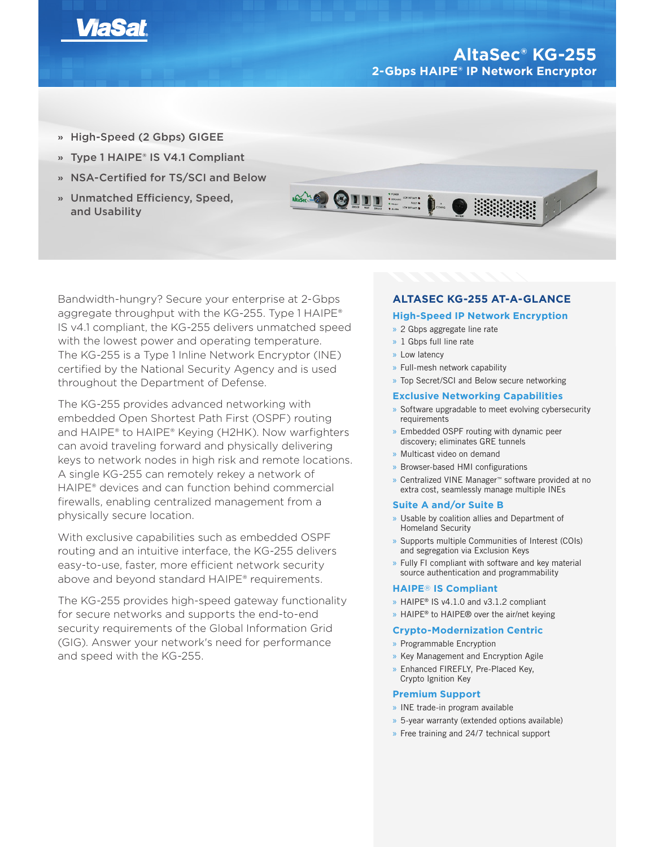

# **AltaSec® KG-255 2-Gbps HAIPE® IP Network Encryptor**

- **»** High-Speed (2 Gbps) GIGEE
- **»** Type 1 HAIPE® IS V4.1 Compliant
- **»** NSA-Certified for TS/SCI and Below
- **»** Unmatched Efficiency, Speed, and Usability



Bandwidth-hungry? Secure your enterprise at 2-Gbps aggregate throughput with the KG-255. Type 1 HAIPE® IS v4.1 compliant, the KG-255 delivers unmatched speed with the lowest power and operating temperature. The KG-255 is a Type 1 Inline Network Encryptor (INE) certified by the National Security Agency and is used throughout the Department of Defense.

The KG-255 provides advanced networking with embedded Open Shortest Path First (OSPF) routing and HAIPE® to HAIPE® Keying (H2HK). Now warfighters can avoid traveling forward and physically delivering keys to network nodes in high risk and remote locations. A single KG-255 can remotely rekey a network of HAIPE® devices and can function behind commercial firewalls, enabling centralized management from a physically secure location.

With exclusive capabilities such as embedded OSPF routing and an intuitive interface, the KG-255 delivers easy-to-use, faster, more efficient network security above and beyond standard HAIPE® requirements.

The KG-255 provides high-speed gateway functionality for secure networks and supports the end-to-end security requirements of the Global Information Grid (GIG). Answer your network's need for performance and speed with the KG-255.

# **ALTASEC KG-255 AT-A-GLANCE**

# **High-Speed IP Network Encryption**

- » 2 Gbps aggregate line rate
- » 1 Gbps full line rate
- » Low latency
- » Full-mesh network capability
- » Top Secret/SCI and Below secure networking

# **Exclusive Networking Capabilities**

- » Software upgradable to meet evolving cybersecurity requirements
- » Embedded OSPF routing with dynamic peer discovery; eliminates GRE tunnels
- » Multicast video on demand
- » Browser-based HMI configurations
- » Centralized VINE Manager™ software provided at no extra cost, seamlessly manage multiple INEs

## **Suite A and/or Suite B**

- » Usable by coalition allies and Department of Homeland Security
- » Supports multiple Communities of Interest (COIs) and segregation via Exclusion Keys
- » Fully FI compliant with software and key material source authentication and programmability

# **HAIPE**® **IS Compliant**

- » HAIPE® IS v4.1.0 and v3.1.2 compliant
- » HAIPE<sup>®</sup> to HAIPE<sup>®</sup> over the air/net keying

## **Crypto-Modernization Centric**

- » Programmable Encryption
- » Key Management and Encryption Agile
- » Enhanced FIREFLY, Pre-Placed Key, Crypto Ignition Key

# **Premium Support**

- » INE trade-in program available
- » 5-year warranty (extended options available)
- » Free training and 24/7 technical support